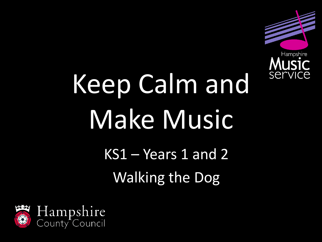

# Keep Calm and Make Music

KS1 – Years 1 and 2 Walking the Dog

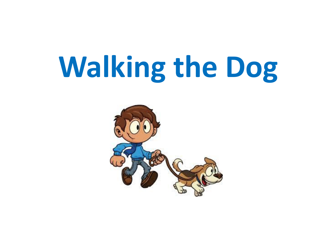# **Walking the Dog**

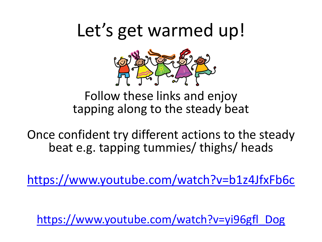## Let's get warmed up!



Follow these links and enjoy tapping along to the steady beat

Once confident try different actions to the steady beat e.g. tapping tummies/ thighs/ heads

<https://www.youtube.com/watch?v=b1z4JfxFb6c>

[https://www.youtube.com/watch?v=yi96gfl\\_Dog](https://www.youtube.com/watch?v=yi96gfl_Dog)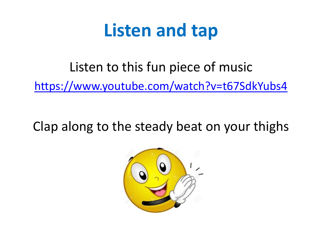## **Listen and tap**

Listen to this fun piece of music

<https://www.youtube.com/watch?v=t67SdkYubs4>

Clap along to the steady beat on your thighs

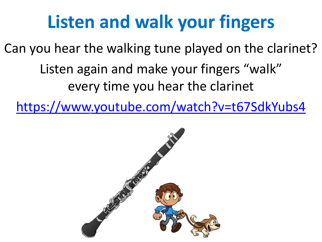# **Listen and walk your fingers**

Can you hear the walking tune played on the clarinet? Listen again and make your fingers "walk" every time you hear the clarinet

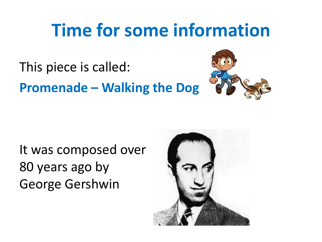## **Time for some information**

This piece is called: **Promenade – Walking the Dog**



It was composed over 80 years ago by George Gershwin

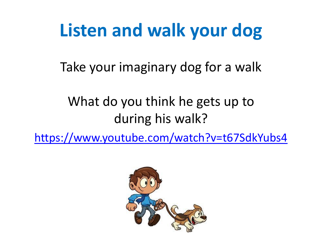## **Listen and walk your dog**

Take your imaginary dog for a walk

#### What do you think he gets up to during his walk?

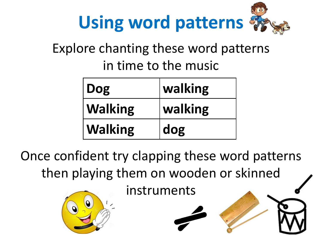

#### Explore chanting these word patterns in time to the music

| Dog            | walking |
|----------------|---------|
| <b>Walking</b> | walking |
| <b>Walking</b> | dog     |

Once confident try clapping these word patterns then playing them on wooden or skinned

instruments

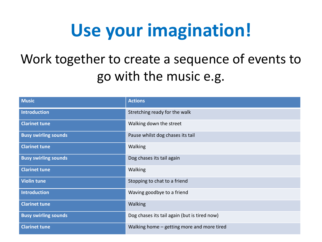# **Use your imagination!**

#### Work together to create a sequence of events to go with the music e.g.

| <b>Music</b>                | <b>Actions</b>                               |
|-----------------------------|----------------------------------------------|
| <b>Introduction</b>         | Stretching ready for the walk                |
| <b>Clarinet tune</b>        | Walking down the street                      |
| <b>Busy swirling sounds</b> | Pause whilst dog chases its tail             |
| <b>Clarinet tune</b>        | Walking                                      |
| <b>Busy swirling sounds</b> | Dog chases its tail again                    |
| <b>Clarinet tune</b>        | Walking                                      |
| <b>Violin tune</b>          | Stopping to chat to a friend                 |
| <b>Introduction</b>         | Waving goodbye to a friend                   |
| <b>Clarinet tune</b>        | Walking                                      |
| <b>Busy swirling sounds</b> | Dog chases its tail again (but is tired now) |
| <b>Clarinet tune</b>        | Walking home – getting more and more tired   |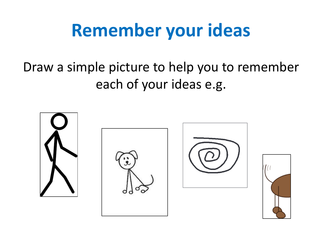# **Remember your ideas**

#### Draw a simple picture to help you to remember each of your ideas e.g.



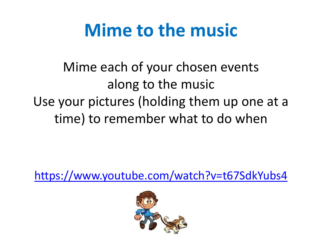## **Mime to the music**

Mime each of your chosen events along to the music Use your pictures (holding them up one at a time) to remember what to do when

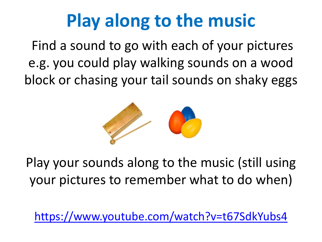# **Play along to the music**

Find a sound to go with each of your pictures e.g. you could play walking sounds on a wood block or chasing your tail sounds on shaky eggs



Play your sounds along to the music (still using your pictures to remember what to do when)